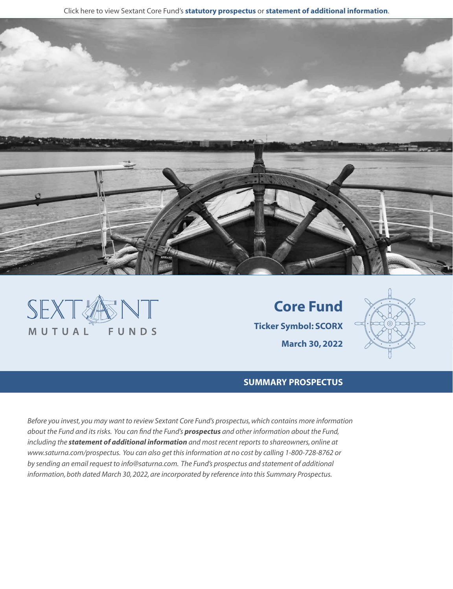Click here to view Sextant Core Fund's **[statutory prospectus](https://www.saturna.com/sites/saturna.com/files/files/Sextant_Prospectus.pdf)** or **[statement of additional information](https://www.saturna.com/sites/saturna.com/files/files/SIT_SAI.pdf)**.





**Core Fund Ticker Symbol: SCORX March 30, 2022**



## **SUMMARY PROSPECTUS**

*Before you invest, you may want to review Sextant Core Fund's prospectus, which contains more information about the Fund and its risks. You can find the Fund's [prospectus](https://www.saturna.com/sites/saturna.com/files/files/Sextant_Prospectus.pdf) and other information about the Fund, including the [statement of additional information](https://www.saturna.com/sites/saturna.com/files/files/SIT_SAI.pdf) and most recent reports to shareowners, online at www.saturna.com/prospectus. You can also get this information at no cost by calling 1-800-728-8762 or by sending an email request to info@saturna.com. The Fund's prospectus and statement of additional information, both dated March 30, 2022, are incorporated by reference into this Summary Prospectus.*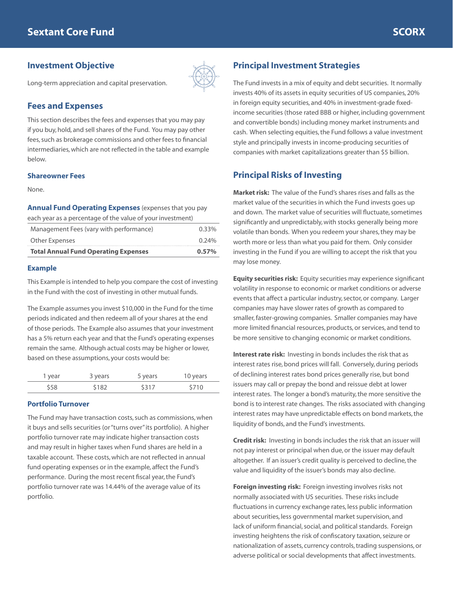## **Investment Objective**



Long-term appreciation and capital preservation.

## **Fees and Expenses**

This section describes the fees and expenses that you may pay if you buy, hold, and sell shares of the Fund. You may pay other fees, such as brokerage commissions and other fees to financial intermediaries, which are not reflected in the table and example below.

### **Shareowner Fees**

None.

**Annual Fund Operating Expenses** (expenses that you pay each year as a percentage of the value of your investment)

| <b>Total Annual Fund Operating Expenses</b>                | $0.57\%$ |
|------------------------------------------------------------|----------|
| Other Expenses                                             | $0.24\%$ |
| Management Fees (vary with performance)                    | $0.33\%$ |
| Cach your as a porcentage or the value of your investmenty |          |

### **Example**

This Example is intended to help you compare the cost of investing in the Fund with the cost of investing in other mutual funds.

The Example assumes you invest \$10,000 in the Fund for the time periods indicated and then redeem all of your shares at the end of those periods. The Example also assumes that your investment has a 5% return each year and that the Fund's operating expenses remain the same. Although actual costs may be higher or lower, based on these assumptions, your costs would be:

| 1 year | 3 years | 5 years | 10 years |
|--------|---------|---------|----------|
| \$58   | \$182   | \$317   | \$710    |

### **Portfolio Turnover**

The Fund may have transaction costs, such as commissions, when it buys and sells securities (or "turns over" its portfolio). A higher portfolio turnover rate may indicate higher transaction costs and may result in higher taxes when Fund shares are held in a taxable account. These costs, which are not reflected in annual fund operating expenses or in the example, affect the Fund's performance. During the most recent fiscal year, the Fund's portfolio turnover rate was 14.44% of the average value of its portfolio.

# **Principal Investment Strategies**

The Fund invests in a mix of equity and debt securities. It normally invests 40% of its assets in equity securities of US companies, 20% in foreign equity securities, and 40% in investment-grade fixedincome securities (those rated BBB or higher, including government and convertible bonds) including money market instruments and cash. When selecting equities, the Fund follows a value investment style and principally invests in income-producing securities of companies with market capitalizations greater than \$5 billion.

# **Principal Risks of Investing**

**Market risk:** The value of the Fund's shares rises and falls as the market value of the securities in which the Fund invests goes up and down. The market value of securities will fluctuate, sometimes significantly and unpredictably, with stocks generally being more volatile than bonds. When you redeem your shares, they may be worth more or less than what you paid for them. Only consider investing in the Fund if you are willing to accept the risk that you may lose money.

**Equity securities risk:** Equity securities may experience significant volatility in response to economic or market conditions or adverse events that affect a particular industry, sector, or company. Larger companies may have slower rates of growth as compared to smaller, faster-growing companies. Smaller companies may have more limited financial resources, products, or services, and tend to be more sensitive to changing economic or market conditions.

**Interest rate risk:** Investing in bonds includes the risk that as interest rates rise, bond prices will fall. Conversely, during periods of declining interest rates bond prices generally rise, but bond issuers may call or prepay the bond and reissue debt at lower interest rates. The longer a bond's maturity, the more sensitive the bond is to interest rate changes. The risks associated with changing interest rates may have unpredictable effects on bond markets, the liquidity of bonds, and the Fund's investments.

**Credit risk:** Investing in bonds includes the risk that an issuer will not pay interest or principal when due, or the issuer may default altogether. If an issuer's credit quality is perceived to decline, the value and liquidity of the issuer's bonds may also decline.

**Foreign investing risk:** Foreign investing involves risks not normally associated with US securities. These risks include fluctuations in currency exchange rates, less public information about securities, less governmental market supervision, and lack of uniform financial, social, and political standards. Foreign investing heightens the risk of confiscatory taxation, seizure or nationalization of assets, currency controls, trading suspensions, or adverse political or social developments that affect investments.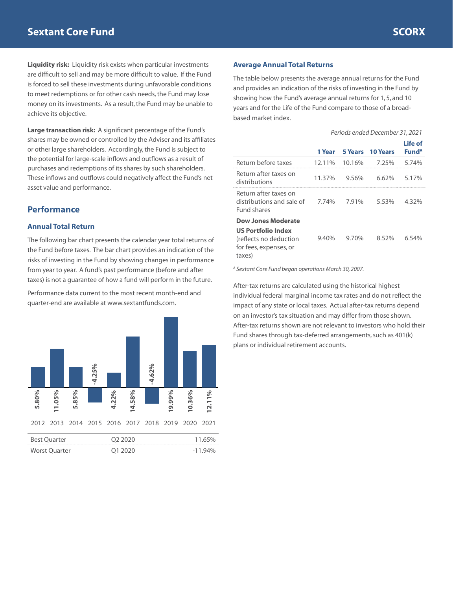**Liquidity risk:** Liquidity risk exists when particular investments are difficult to sell and may be more difficult to value. If the Fund is forced to sell these investments during unfavorable conditions to meet redemptions or for other cash needs, the Fund may lose money on its investments. As a result, the Fund may be unable to achieve its objective.

**Large transaction risk:** A significant percentage of the Fund's shares may be owned or controlled by the Adviser and its affiliates or other large shareholders. Accordingly, the Fund is subject to the potential for large-scale inflows and outflows as a result of purchases and redemptions of its shares by such shareholders. These inflows and outflows could negatively affect the Fund's net asset value and performance.

# **Performance**

### **Annual Total Return**

The following bar chart presents the calendar year total returns of the Fund before taxes. The bar chart provides an indication of the risks of investing in the Fund by showing changes in performance from year to year. A fund's past performance (before and after taxes) is not a guarantee of how a fund will perform in the future.

Performance data current to the most recent month-end and quarter-end are available at www.sextantfunds.com.



### **Average Annual Total Returns**

The table below presents the average annual returns for the Fund and provides an indication of the risks of investing in the Fund by showing how the Fund's average annual returns for 1, 5, and 10 years and for the Life of the Fund compare to those of a broadbased market index.

|                                                                                                                      | 1 Year   | 5 Years  | <b>10 Years</b> | Life of<br>Fund <sup>A</sup> |
|----------------------------------------------------------------------------------------------------------------------|----------|----------|-----------------|------------------------------|
| Return before taxes                                                                                                  | 12.11%   | 10.16%   | 7.25%           | 5.74%                        |
| Return after taxes on<br>distributions                                                                               | 11.37%   | 9.56%    | 6.62%           | 5.17%                        |
| Return after taxes on<br>distributions and sale of<br><b>Fund shares</b>                                             | 7.74%    | 7.91%    | 5.53%           | 4.32%                        |
| <b>Dow Jones Moderate</b><br><b>US Portfolio Index</b><br>(reflects no deduction<br>for fees, expenses, or<br>taxes) | $9.40\%$ | $9.70\%$ | 8.52%           | 6.54%                        |

*A Sextant Core Fund began operations March 30, 2007.*

After-tax returns are calculated using the historical highest individual federal marginal income tax rates and do not reflect the impact of any state or local taxes. Actual after-tax returns depend on an investor's tax situation and may differ from those shown. After-tax returns shown are not relevant to investors who hold their Fund shares through tax-deferred arrangements, such as 401(k) plans or individual retirement accounts.